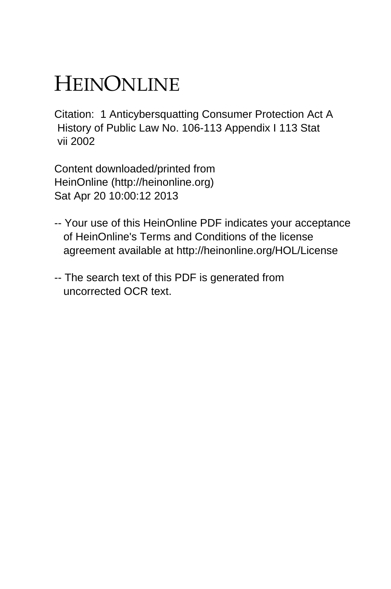# HEINONLINE

Citation: 1 Anticybersquatting Consumer Protection Act A History of Public Law No. 106-113 Appendix I 113 Stat vii 2002

Content downloaded/printed from HeinOnline (http://heinonline.org) Sat Apr 20 10:00:12 2013

- -- Your use of this HeinOnline PDF indicates your acceptance of HeinOnline's Terms and Conditions of the license agreement available at http://heinonline.org/HOL/License
- -- The search text of this PDF is generated from uncorrected OCR text.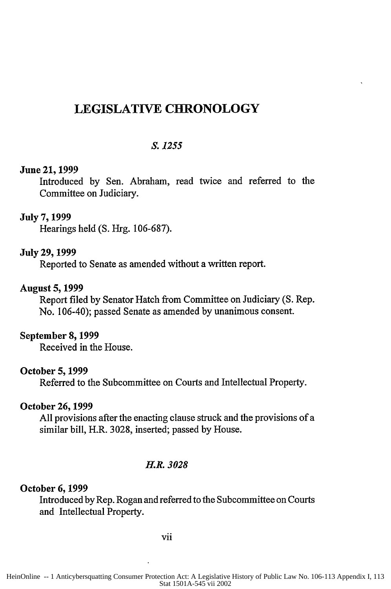# **LEGISLATIVE CHRONOLOGY**

# *S. 1255*

#### **June** 21, **1999**

Introduced **by** Sen. Abraham, read twice and referred to the Committee on Judiciary.

#### July **7,** 1999

Hearings held **(S.** Hrg. **106-687).**

#### July **29, 1999**

Reported to Senate as amended without a written report.

# August **5, 1999**

Report filed **by** Senator Hatch from Committee on Judiciary **(S.** Rep. No. 106-40); passed Senate as amended **by** unanimous consent.

#### September **8, 1999**

Received in the House.

#### October **5, 1999**

Referred to the Subcommittee on Courts and Intellectual Property.

#### October **26, 1999**

All provisions after the enacting clause struck and the provisions of a similar bill, H.R. 3028, inserted; passed by House.

#### *H.R. 3028*

#### **October 6, 1999**

Introduced by Rep. Rogan and referred to the Subcommittee on Courts and Intellectual Property.

vii

HeinOnline -- 1 Anticybersquatting Consumer Protection Act: A Legislative History of Public Law No. 106-113 Appendix I, 113 Stat 1501A-545 vii 2002